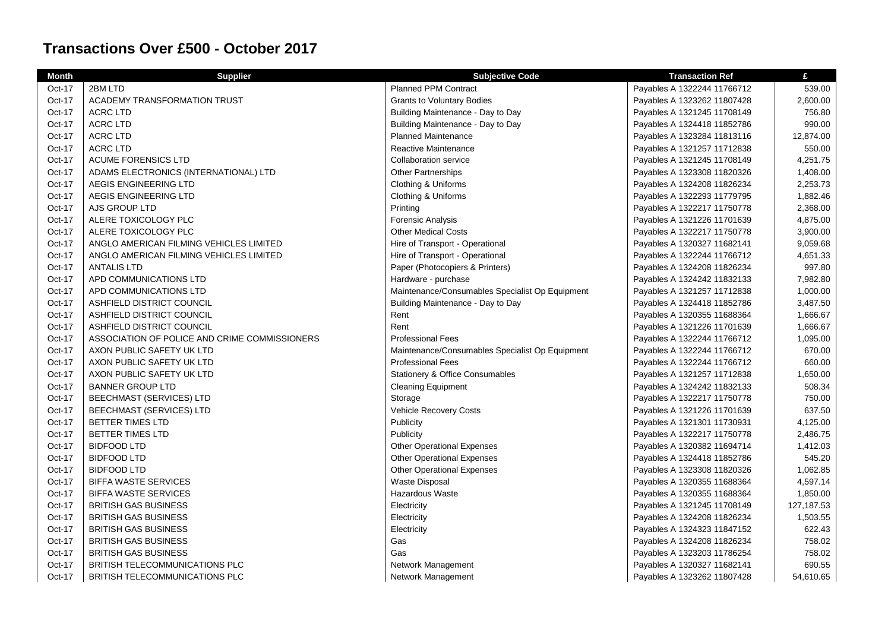| Month  | <b>Supplier</b>                               | <b>Subjective Code</b>                          | <b>Transaction Ref</b>      | £           |
|--------|-----------------------------------------------|-------------------------------------------------|-----------------------------|-------------|
| Oct-17 | 2BM LTD                                       | <b>Planned PPM Contract</b>                     | Payables A 1322244 11766712 | 539.00      |
| Oct-17 | ACADEMY TRANSFORMATION TRUST                  | <b>Grants to Voluntary Bodies</b>               | Payables A 1323262 11807428 | 2,600.00    |
| Oct-17 | <b>ACRC LTD</b>                               | Building Maintenance - Day to Day               | Payables A 1321245 11708149 | 756.80      |
| Oct-17 | <b>ACRC LTD</b>                               | Building Maintenance - Day to Day               | Payables A 1324418 11852786 | 990.00      |
| Oct-17 | <b>ACRC LTD</b>                               | <b>Planned Maintenance</b>                      | Payables A 1323284 11813116 | 12,874.00   |
| Oct-17 | <b>ACRC LTD</b>                               | Reactive Maintenance                            | Payables A 1321257 11712838 | 550.00      |
| Oct-17 | <b>ACUME FORENSICS LTD</b>                    | <b>Collaboration service</b>                    | Payables A 1321245 11708149 | 4,251.75    |
| Oct-17 | ADAMS ELECTRONICS (INTERNATIONAL) LTD         | <b>Other Partnerships</b>                       | Payables A 1323308 11820326 | 1,408.00    |
| Oct-17 | AEGIS ENGINEERING LTD                         | Clothing & Uniforms                             | Payables A 1324208 11826234 | 2,253.73    |
| Oct-17 | AEGIS ENGINEERING LTD                         | Clothing & Uniforms                             | Payables A 1322293 11779795 | 1,882.46    |
| Oct-17 | AJS GROUP LTD                                 | Printing                                        | Payables A 1322217 11750778 | 2,368.00    |
| Oct-17 | ALERE TOXICOLOGY PLC                          | <b>Forensic Analysis</b>                        | Payables A 1321226 11701639 | 4,875.00    |
| Oct-17 | ALERE TOXICOLOGY PLC                          | <b>Other Medical Costs</b>                      | Payables A 1322217 11750778 | 3,900.00    |
| Oct-17 | ANGLO AMERICAN FILMING VEHICLES LIMITED       | Hire of Transport - Operational                 | Payables A 1320327 11682141 | 9,059.68    |
| Oct-17 | ANGLO AMERICAN FILMING VEHICLES LIMITED       | Hire of Transport - Operational                 | Payables A 1322244 11766712 | 4,651.33    |
| Oct-17 | <b>ANTALIS LTD</b>                            | Paper (Photocopiers & Printers)                 | Payables A 1324208 11826234 | 997.80      |
| Oct-17 | APD COMMUNICATIONS LTD                        | Hardware - purchase                             | Payables A 1324242 11832133 | 7,982.80    |
| Oct-17 | APD COMMUNICATIONS LTD                        | Maintenance/Consumables Specialist Op Equipment | Payables A 1321257 11712838 | 1,000.00    |
| Oct-17 | ASHFIELD DISTRICT COUNCIL                     | Building Maintenance - Day to Day               | Payables A 1324418 11852786 | 3,487.50    |
| Oct-17 | ASHFIELD DISTRICT COUNCIL                     | Rent                                            | Payables A 1320355 11688364 | 1,666.67    |
| Oct-17 | ASHFIELD DISTRICT COUNCIL                     | Rent                                            | Payables A 1321226 11701639 | 1,666.67    |
| Oct-17 | ASSOCIATION OF POLICE AND CRIME COMMISSIONERS | <b>Professional Fees</b>                        | Payables A 1322244 11766712 | 1,095.00    |
| Oct-17 | AXON PUBLIC SAFETY UK LTD                     | Maintenance/Consumables Specialist Op Equipment | Payables A 1322244 11766712 | 670.00      |
| Oct-17 | AXON PUBLIC SAFETY UK LTD                     | <b>Professional Fees</b>                        | Payables A 1322244 11766712 | 660.00      |
| Oct-17 | AXON PUBLIC SAFETY UK LTD                     | Stationery & Office Consumables                 | Payables A 1321257 11712838 | 1,650.00    |
| Oct-17 | <b>BANNER GROUP LTD</b>                       | <b>Cleaning Equipment</b>                       | Payables A 1324242 11832133 | 508.34      |
| Oct-17 | BEECHMAST (SERVICES) LTD                      | Storage                                         | Payables A 1322217 11750778 | 750.00      |
| Oct-17 | <b>BEECHMAST (SERVICES) LTD</b>               | Vehicle Recovery Costs                          | Payables A 1321226 11701639 | 637.50      |
| Oct-17 | <b>BETTER TIMES LTD</b>                       | Publicity                                       | Payables A 1321301 11730931 | 4,125.00    |
| Oct-17 | <b>BETTER TIMES LTD</b>                       | Publicity                                       | Payables A 1322217 11750778 | 2,486.75    |
| Oct-17 | <b>BIDFOOD LTD</b>                            | <b>Other Operational Expenses</b>               | Payables A 1320382 11694714 | 1,412.03    |
| Oct-17 | <b>BIDFOOD LTD</b>                            | <b>Other Operational Expenses</b>               | Payables A 1324418 11852786 | 545.20      |
| Oct-17 | <b>BIDFOOD LTD</b>                            | <b>Other Operational Expenses</b>               | Payables A 1323308 11820326 | 1,062.85    |
| Oct-17 | <b>BIFFA WASTE SERVICES</b>                   | <b>Waste Disposal</b>                           | Payables A 1320355 11688364 | 4,597.14    |
| Oct-17 | <b>BIFFA WASTE SERVICES</b>                   | <b>Hazardous Waste</b>                          | Payables A 1320355 11688364 | 1,850.00    |
| Oct-17 | <b>BRITISH GAS BUSINESS</b>                   | Electricity                                     | Payables A 1321245 11708149 | 127, 187.53 |
| Oct-17 | <b>BRITISH GAS BUSINESS</b>                   | Electricity                                     | Payables A 1324208 11826234 | 1,503.55    |
| Oct-17 | <b>BRITISH GAS BUSINESS</b>                   | Electricity                                     | Payables A 1324323 11847152 | 622.43      |
| Oct-17 | <b>BRITISH GAS BUSINESS</b>                   | Gas                                             | Payables A 1324208 11826234 | 758.02      |
| Oct-17 | <b>BRITISH GAS BUSINESS</b>                   | Gas                                             | Payables A 1323203 11786254 | 758.02      |
| Oct-17 | BRITISH TELECOMMUNICATIONS PLC                | Network Management                              | Payables A 1320327 11682141 | 690.55      |
| Oct-17 | BRITISH TELECOMMUNICATIONS PLC                | Network Management                              | Payables A 1323262 11807428 | 54,610.65   |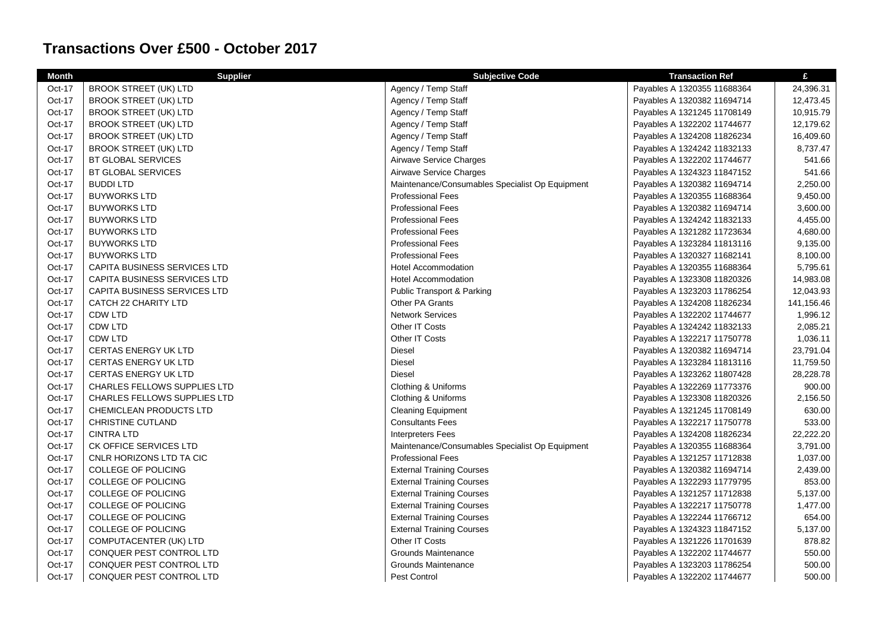| <b>Month</b> | <b>Supplier</b>                     | <b>Subjective Code</b>                          | <b>Transaction Ref</b>      | £          |
|--------------|-------------------------------------|-------------------------------------------------|-----------------------------|------------|
| Oct-17       | <b>BROOK STREET (UK) LTD</b>        | Agency / Temp Staff                             | Payables A 1320355 11688364 | 24,396.31  |
| Oct-17       | <b>BROOK STREET (UK) LTD</b>        | Agency / Temp Staff                             | Payables A 1320382 11694714 | 12,473.45  |
| Oct-17       | <b>BROOK STREET (UK) LTD</b>        | Agency / Temp Staff                             | Payables A 1321245 11708149 | 10,915.79  |
| Oct-17       | <b>BROOK STREET (UK) LTD</b>        | Agency / Temp Staff                             | Payables A 1322202 11744677 | 12,179.62  |
| Oct-17       | BROOK STREET (UK) LTD               | Agency / Temp Staff                             | Payables A 1324208 11826234 | 16,409.60  |
| Oct-17       | <b>BROOK STREET (UK) LTD</b>        | Agency / Temp Staff                             | Payables A 1324242 11832133 | 8,737.47   |
| Oct-17       | BT GLOBAL SERVICES                  | Airwave Service Charges                         | Payables A 1322202 11744677 | 541.66     |
| Oct-17       | <b>BT GLOBAL SERVICES</b>           | Airwave Service Charges                         | Payables A 1324323 11847152 | 541.66     |
| Oct-17       | <b>BUDDI LTD</b>                    | Maintenance/Consumables Specialist Op Equipment | Payables A 1320382 11694714 | 2,250.00   |
| Oct-17       | <b>BUYWORKS LTD</b>                 | <b>Professional Fees</b>                        | Payables A 1320355 11688364 | 9,450.00   |
| Oct-17       | <b>BUYWORKS LTD</b>                 | <b>Professional Fees</b>                        | Payables A 1320382 11694714 | 3,600.00   |
| Oct-17       | <b>BUYWORKS LTD</b>                 | <b>Professional Fees</b>                        | Payables A 1324242 11832133 | 4,455.00   |
| Oct-17       | <b>BUYWORKS LTD</b>                 | <b>Professional Fees</b>                        | Payables A 1321282 11723634 | 4,680.00   |
| Oct-17       | <b>BUYWORKS LTD</b>                 | <b>Professional Fees</b>                        | Payables A 1323284 11813116 | 9,135.00   |
| Oct-17       | <b>BUYWORKS LTD</b>                 | <b>Professional Fees</b>                        | Payables A 1320327 11682141 | 8,100.00   |
| Oct-17       | <b>CAPITA BUSINESS SERVICES LTD</b> | <b>Hotel Accommodation</b>                      | Payables A 1320355 11688364 | 5,795.61   |
| Oct-17       | CAPITA BUSINESS SERVICES LTD        | <b>Hotel Accommodation</b>                      | Payables A 1323308 11820326 | 14,983.08  |
| Oct-17       | CAPITA BUSINESS SERVICES LTD        | <b>Public Transport &amp; Parking</b>           | Payables A 1323203 11786254 | 12,043.93  |
| Oct-17       | CATCH 22 CHARITY LTD                | <b>Other PA Grants</b>                          | Payables A 1324208 11826234 | 141,156.46 |
| Oct-17       | <b>CDW LTD</b>                      | <b>Network Services</b>                         | Payables A 1322202 11744677 | 1,996.12   |
| Oct-17       | <b>CDW LTD</b>                      | Other IT Costs                                  | Payables A 1324242 11832133 | 2,085.21   |
| Oct-17       | <b>CDW LTD</b>                      | Other IT Costs                                  | Payables A 1322217 11750778 | 1,036.11   |
| Oct-17       | <b>CERTAS ENERGY UK LTD</b>         | <b>Diesel</b>                                   | Payables A 1320382 11694714 | 23,791.04  |
| Oct-17       | <b>CERTAS ENERGY UK LTD</b>         | <b>Diesel</b>                                   | Payables A 1323284 11813116 | 11,759.50  |
| Oct-17       | <b>CERTAS ENERGY UK LTD</b>         | <b>Diesel</b>                                   | Payables A 1323262 11807428 | 28,228.78  |
| Oct-17       | CHARLES FELLOWS SUPPLIES LTD        | Clothing & Uniforms                             | Payables A 1322269 11773376 | 900.00     |
| Oct-17       | <b>CHARLES FELLOWS SUPPLIES LTD</b> | Clothing & Uniforms                             | Payables A 1323308 11820326 | 2,156.50   |
| Oct-17       | CHEMICLEAN PRODUCTS LTD             | <b>Cleaning Equipment</b>                       | Payables A 1321245 11708149 | 630.00     |
| Oct-17       | <b>CHRISTINE CUTLAND</b>            | <b>Consultants Fees</b>                         | Payables A 1322217 11750778 | 533.00     |
| Oct-17       | <b>CINTRA LTD</b>                   | <b>Interpreters Fees</b>                        | Payables A 1324208 11826234 | 22,222.20  |
| Oct-17       | CK OFFICE SERVICES LTD              | Maintenance/Consumables Specialist Op Equipment | Payables A 1320355 11688364 | 3,791.00   |
| Oct-17       | CNLR HORIZONS LTD TA CIC            | <b>Professional Fees</b>                        | Payables A 1321257 11712838 | 1,037.00   |
| Oct-17       | COLLEGE OF POLICING                 | <b>External Training Courses</b>                | Payables A 1320382 11694714 | 2,439.00   |
| Oct-17       | COLLEGE OF POLICING                 | <b>External Training Courses</b>                | Payables A 1322293 11779795 | 853.00     |
| Oct-17       | <b>COLLEGE OF POLICING</b>          | <b>External Training Courses</b>                | Payables A 1321257 11712838 | 5,137.00   |
| Oct-17       | <b>COLLEGE OF POLICING</b>          | <b>External Training Courses</b>                | Payables A 1322217 11750778 | 1,477.00   |
| Oct-17       | COLLEGE OF POLICING                 | <b>External Training Courses</b>                | Payables A 1322244 11766712 | 654.00     |
| Oct-17       | <b>COLLEGE OF POLICING</b>          | <b>External Training Courses</b>                | Payables A 1324323 11847152 | 5,137.00   |
| Oct-17       | COMPUTACENTER (UK) LTD              | Other IT Costs                                  | Payables A 1321226 11701639 | 878.82     |
| Oct-17       | CONQUER PEST CONTROL LTD            | <b>Grounds Maintenance</b>                      | Payables A 1322202 11744677 | 550.00     |
| Oct-17       | CONQUER PEST CONTROL LTD            | <b>Grounds Maintenance</b>                      | Payables A 1323203 11786254 | 500.00     |
| Oct-17       | CONQUER PEST CONTROL LTD            | Pest Control                                    | Payables A 1322202 11744677 | 500.00     |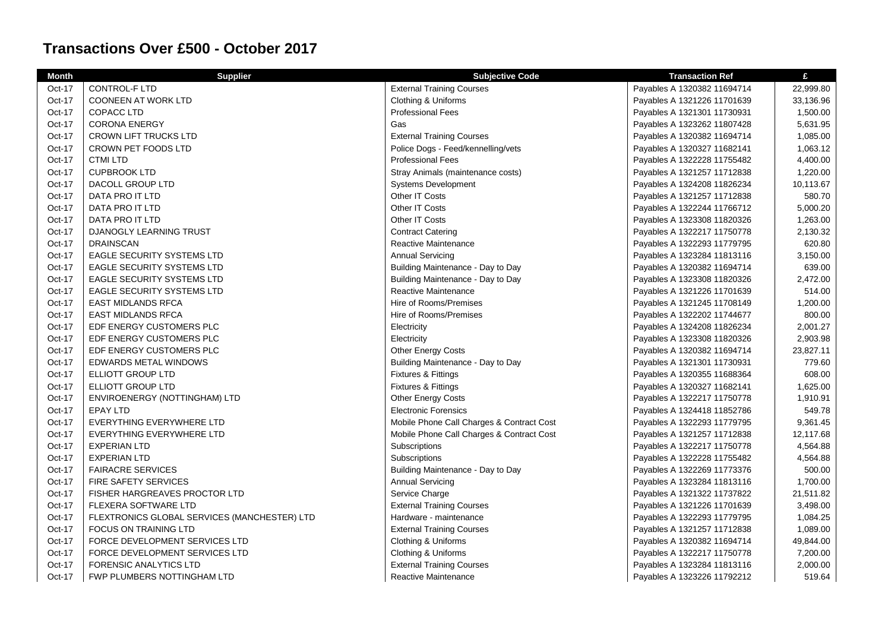| <b>Month</b> | <b>Supplier</b>                              | <b>Subjective Code</b>                    | <b>Transaction Ref</b>      | £         |
|--------------|----------------------------------------------|-------------------------------------------|-----------------------------|-----------|
| Oct-17       | <b>CONTROL-F LTD</b>                         | <b>External Training Courses</b>          | Payables A 1320382 11694714 | 22,999.80 |
| Oct-17       | <b>COONEEN AT WORK LTD</b>                   | Clothing & Uniforms                       | Payables A 1321226 11701639 | 33,136.96 |
| Oct-17       | <b>COPACC LTD</b>                            | <b>Professional Fees</b>                  | Payables A 1321301 11730931 | 1,500.00  |
| Oct-17       | <b>CORONA ENERGY</b>                         | Gas                                       | Payables A 1323262 11807428 | 5,631.95  |
| Oct-17       | <b>CROWN LIFT TRUCKS LTD</b>                 | <b>External Training Courses</b>          | Payables A 1320382 11694714 | 1,085.00  |
| Oct-17       | CROWN PET FOODS LTD                          | Police Dogs - Feed/kennelling/vets        | Payables A 1320327 11682141 | 1,063.12  |
| Oct-17       | <b>CTMI LTD</b>                              | <b>Professional Fees</b>                  | Payables A 1322228 11755482 | 4,400.00  |
| Oct-17       | <b>CUPBROOK LTD</b>                          | Stray Animals (maintenance costs)         | Payables A 1321257 11712838 | 1,220.00  |
| Oct-17       | DACOLL GROUP LTD                             | <b>Systems Development</b>                | Payables A 1324208 11826234 | 10,113.67 |
| Oct-17       | DATA PRO IT LTD                              | Other IT Costs                            | Payables A 1321257 11712838 | 580.70    |
| Oct-17       | DATA PRO IT LTD                              | Other IT Costs                            | Payables A 1322244 11766712 | 5,000.20  |
| Oct-17       | DATA PRO IT LTD                              | Other IT Costs                            | Payables A 1323308 11820326 | 1,263.00  |
| Oct-17       | DJANOGLY LEARNING TRUST                      | <b>Contract Catering</b>                  | Payables A 1322217 11750778 | 2,130.32  |
| Oct-17       | <b>DRAINSCAN</b>                             | Reactive Maintenance                      | Payables A 1322293 11779795 | 620.80    |
| Oct-17       | <b>EAGLE SECURITY SYSTEMS LTD</b>            | <b>Annual Servicing</b>                   | Payables A 1323284 11813116 | 3,150.00  |
| Oct-17       | <b>EAGLE SECURITY SYSTEMS LTD</b>            | Building Maintenance - Day to Day         | Payables A 1320382 11694714 | 639.00    |
| Oct-17       | <b>EAGLE SECURITY SYSTEMS LTD</b>            | Building Maintenance - Day to Day         | Payables A 1323308 11820326 | 2,472.00  |
| Oct-17       | <b>EAGLE SECURITY SYSTEMS LTD</b>            | Reactive Maintenance                      | Payables A 1321226 11701639 | 514.00    |
| Oct-17       | <b>EAST MIDLANDS RFCA</b>                    | <b>Hire of Rooms/Premises</b>             | Payables A 1321245 11708149 | 1,200.00  |
| Oct-17       | <b>EAST MIDLANDS RFCA</b>                    | Hire of Rooms/Premises                    | Payables A 1322202 11744677 | 800.00    |
| Oct-17       | EDF ENERGY CUSTOMERS PLC                     | Electricity                               | Payables A 1324208 11826234 | 2,001.27  |
| Oct-17       | EDF ENERGY CUSTOMERS PLC                     | Electricity                               | Payables A 1323308 11820326 | 2,903.98  |
| Oct-17       | EDF ENERGY CUSTOMERS PLC                     | Other Energy Costs                        | Payables A 1320382 11694714 | 23,827.11 |
| Oct-17       | EDWARDS METAL WINDOWS                        | Building Maintenance - Day to Day         | Payables A 1321301 11730931 | 779.60    |
| Oct-17       | <b>ELLIOTT GROUP LTD</b>                     | Fixtures & Fittings                       | Payables A 1320355 11688364 | 608.00    |
| Oct-17       | <b>ELLIOTT GROUP LTD</b>                     | Fixtures & Fittings                       | Payables A 1320327 11682141 | 1,625.00  |
| Oct-17       | ENVIROENERGY (NOTTINGHAM) LTD                | Other Energy Costs                        | Payables A 1322217 11750778 | 1,910.91  |
| Oct-17       | <b>EPAY LTD</b>                              | <b>Electronic Forensics</b>               | Payables A 1324418 11852786 | 549.78    |
| Oct-17       | <b>EVERYTHING EVERYWHERE LTD</b>             | Mobile Phone Call Charges & Contract Cost | Payables A 1322293 11779795 | 9,361.45  |
| Oct-17       | EVERYTHING EVERYWHERE LTD                    | Mobile Phone Call Charges & Contract Cost | Payables A 1321257 11712838 | 12,117.68 |
| Oct-17       | <b>EXPERIAN LTD</b>                          | Subscriptions                             | Payables A 1322217 11750778 | 4,564.88  |
| Oct-17       | <b>EXPERIAN LTD</b>                          | Subscriptions                             | Payables A 1322228 11755482 | 4,564.88  |
| Oct-17       | <b>FAIRACRE SERVICES</b>                     | Building Maintenance - Day to Day         | Payables A 1322269 11773376 | 500.00    |
| Oct-17       | FIRE SAFETY SERVICES                         | <b>Annual Servicing</b>                   | Payables A 1323284 11813116 | 1,700.00  |
| Oct-17       | FISHER HARGREAVES PROCTOR LTD                | Service Charge                            | Payables A 1321322 11737822 | 21,511.82 |
| Oct-17       | FLEXERA SOFTWARE LTD                         | <b>External Training Courses</b>          | Payables A 1321226 11701639 | 3,498.00  |
| Oct-17       | FLEXTRONICS GLOBAL SERVICES (MANCHESTER) LTD | Hardware - maintenance                    | Payables A 1322293 11779795 | 1,084.25  |
| Oct-17       | <b>FOCUS ON TRAINING LTD</b>                 | <b>External Training Courses</b>          | Payables A 1321257 11712838 | 1,089.00  |
| Oct-17       | FORCE DEVELOPMENT SERVICES LTD               | Clothing & Uniforms                       | Payables A 1320382 11694714 | 49,844.00 |
| Oct-17       | FORCE DEVELOPMENT SERVICES LTD               | Clothing & Uniforms                       | Payables A 1322217 11750778 | 7,200.00  |
| Oct-17       | <b>FORENSIC ANALYTICS LTD</b>                | <b>External Training Courses</b>          | Payables A 1323284 11813116 | 2,000.00  |
| Oct-17       | FWP PLUMBERS NOTTINGHAM LTD                  | Reactive Maintenance                      | Payables A 1323226 11792212 | 519.64    |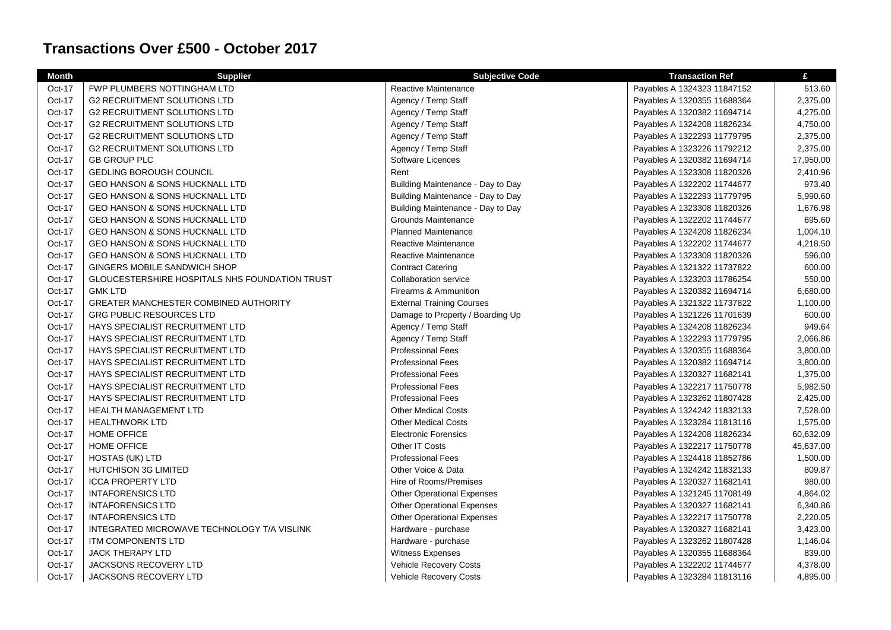| <b>Month</b> | <b>Supplier</b>                                | <b>Subjective Code</b>            | <b>Transaction Ref</b>      | £         |
|--------------|------------------------------------------------|-----------------------------------|-----------------------------|-----------|
| Oct-17       | FWP PLUMBERS NOTTINGHAM LTD                    | Reactive Maintenance              | Payables A 1324323 11847152 | 513.60    |
| Oct-17       | <b>G2 RECRUITMENT SOLUTIONS LTD</b>            | Agency / Temp Staff               | Payables A 1320355 11688364 | 2,375.00  |
| Oct-17       | <b>G2 RECRUITMENT SOLUTIONS LTD</b>            | Agency / Temp Staff               | Payables A 1320382 11694714 | 4,275.00  |
| Oct-17       | G2 RECRUITMENT SOLUTIONS LTD                   | Agency / Temp Staff               | Payables A 1324208 11826234 | 4,750.00  |
| Oct-17       | <b>G2 RECRUITMENT SOLUTIONS LTD</b>            | Agency / Temp Staff               | Payables A 1322293 11779795 | 2,375.00  |
| Oct-17       | <b>G2 RECRUITMENT SOLUTIONS LTD</b>            | Agency / Temp Staff               | Payables A 1323226 11792212 | 2,375.00  |
| Oct-17       | <b>GB GROUP PLC</b>                            | Software Licences                 | Payables A 1320382 11694714 | 17,950.00 |
| Oct-17       | GEDLING BOROUGH COUNCIL                        | Rent                              | Payables A 1323308 11820326 | 2,410.96  |
| Oct-17       | <b>GEO HANSON &amp; SONS HUCKNALL LTD</b>      | Building Maintenance - Day to Day | Payables A 1322202 11744677 | 973.40    |
| Oct-17       | <b>GEO HANSON &amp; SONS HUCKNALL LTD</b>      | Building Maintenance - Day to Day | Payables A 1322293 11779795 | 5,990.60  |
| Oct-17       | <b>GEO HANSON &amp; SONS HUCKNALL LTD</b>      | Building Maintenance - Day to Day | Payables A 1323308 11820326 | 1,676.98  |
| Oct-17       | <b>GEO HANSON &amp; SONS HUCKNALL LTD</b>      | Grounds Maintenance               | Payables A 1322202 11744677 | 695.60    |
| Oct-17       | <b>GEO HANSON &amp; SONS HUCKNALL LTD</b>      | <b>Planned Maintenance</b>        | Payables A 1324208 11826234 | 1,004.10  |
| Oct-17       | <b>GEO HANSON &amp; SONS HUCKNALL LTD</b>      | Reactive Maintenance              | Payables A 1322202 11744677 | 4,218.50  |
| Oct-17       | GEO HANSON & SONS HUCKNALL LTD                 | Reactive Maintenance              | Payables A 1323308 11820326 | 596.00    |
| Oct-17       | GINGERS MOBILE SANDWICH SHOP                   | <b>Contract Catering</b>          | Payables A 1321322 11737822 | 600.00    |
| Oct-17       | GLOUCESTERSHIRE HOSPITALS NHS FOUNDATION TRUST | <b>Collaboration service</b>      | Payables A 1323203 11786254 | 550.00    |
| Oct-17       | <b>GMK LTD</b>                                 | Firearms & Ammunition             | Payables A 1320382 11694714 | 6,680.00  |
| Oct-17       | GREATER MANCHESTER COMBINED AUTHORITY          | <b>External Training Courses</b>  | Payables A 1321322 11737822 | 1,100.00  |
| Oct-17       | <b>GRG PUBLIC RESOURCES LTD</b>                | Damage to Property / Boarding Up  | Payables A 1321226 11701639 | 600.00    |
| Oct-17       | HAYS SPECIALIST RECRUITMENT LTD                | Agency / Temp Staff               | Payables A 1324208 11826234 | 949.64    |
| Oct-17       | HAYS SPECIALIST RECRUITMENT LTD                | Agency / Temp Staff               | Payables A 1322293 11779795 | 2,066.86  |
| Oct-17       | HAYS SPECIALIST RECRUITMENT LTD                | <b>Professional Fees</b>          | Payables A 1320355 11688364 | 3,800.00  |
| Oct-17       | HAYS SPECIALIST RECRUITMENT LTD                | <b>Professional Fees</b>          | Payables A 1320382 11694714 | 3,800.00  |
| Oct-17       | HAYS SPECIALIST RECRUITMENT LTD                | <b>Professional Fees</b>          | Payables A 1320327 11682141 | 1,375.00  |
| Oct-17       | HAYS SPECIALIST RECRUITMENT LTD                | <b>Professional Fees</b>          | Payables A 1322217 11750778 | 5,982.50  |
| Oct-17       | HAYS SPECIALIST RECRUITMENT LTD                | <b>Professional Fees</b>          | Payables A 1323262 11807428 | 2,425.00  |
| Oct-17       | HEALTH MANAGEMENT LTD                          | <b>Other Medical Costs</b>        | Payables A 1324242 11832133 | 7,528.00  |
| Oct-17       | HEALTHWORK LTD                                 | <b>Other Medical Costs</b>        | Payables A 1323284 11813116 | 1,575.00  |
| Oct-17       | <b>HOME OFFICE</b>                             | <b>Electronic Forensics</b>       | Payables A 1324208 11826234 | 60,632.09 |
| Oct-17       | <b>HOME OFFICE</b>                             | Other IT Costs                    | Payables A 1322217 11750778 | 45,637.00 |
| Oct-17       | HOSTAS (UK) LTD                                | <b>Professional Fees</b>          | Payables A 1324418 11852786 | 1,500.00  |
| Oct-17       | HUTCHISON 3G LIMITED                           | Other Voice & Data                | Payables A 1324242 11832133 | 809.87    |
| Oct-17       | <b>ICCA PROPERTY LTD</b>                       | Hire of Rooms/Premises            | Payables A 1320327 11682141 | 980.00    |
| Oct-17       | <b>INTAFORENSICS LTD</b>                       | <b>Other Operational Expenses</b> | Payables A 1321245 11708149 | 4.864.02  |
| Oct-17       | <b>INTAFORENSICS LTD</b>                       | <b>Other Operational Expenses</b> | Payables A 1320327 11682141 | 6,340.86  |
| Oct-17       | <b>INTAFORENSICS LTD</b>                       | <b>Other Operational Expenses</b> | Payables A 1322217 11750778 | 2,220.05  |
| Oct-17       | INTEGRATED MICROWAVE TECHNOLOGY T/A VISLINK    | Hardware - purchase               | Payables A 1320327 11682141 | 3,423.00  |
| Oct-17       | <b>ITM COMPONENTS LTD</b>                      | Hardware - purchase               | Payables A 1323262 11807428 | 1,146.04  |
| Oct-17       | JACK THERAPY LTD                               | Witness Expenses                  | Payables A 1320355 11688364 | 839.00    |
| Oct-17       | JACKSONS RECOVERY LTD                          | Vehicle Recovery Costs            | Payables A 1322202 11744677 | 4,378.00  |
| Oct-17       | <b>JACKSONS RECOVERY LTD</b>                   | <b>Vehicle Recovery Costs</b>     | Payables A 1323284 11813116 | 4,895.00  |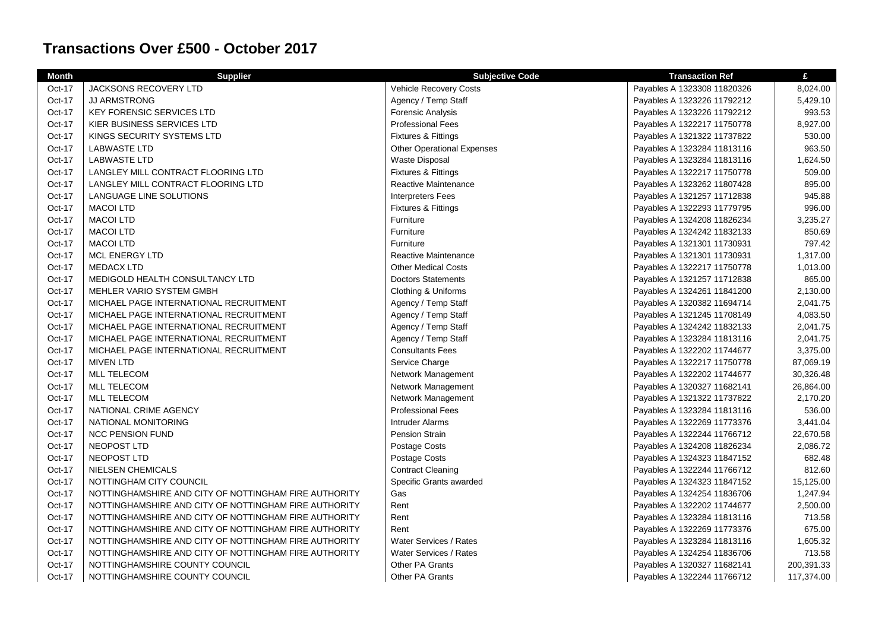| <b>Month</b> | <b>Supplier</b>                                       | <b>Subjective Code</b>            | <b>Transaction Ref</b>      | £          |
|--------------|-------------------------------------------------------|-----------------------------------|-----------------------------|------------|
| Oct-17       | <b>JACKSONS RECOVERY LTD</b>                          | Vehicle Recovery Costs            | Payables A 1323308 11820326 | 8,024.00   |
| Oct-17       | <b>JJ ARMSTRONG</b>                                   | Agency / Temp Staff               | Payables A 1323226 11792212 | 5,429.10   |
| Oct-17       | <b>KEY FORENSIC SERVICES LTD</b>                      | Forensic Analysis                 | Payables A 1323226 11792212 | 993.53     |
| Oct-17       | KIER BUSINESS SERVICES LTD                            | <b>Professional Fees</b>          | Payables A 1322217 11750778 | 8,927.00   |
| Oct-17       | KINGS SECURITY SYSTEMS LTD                            | <b>Fixtures &amp; Fittings</b>    | Payables A 1321322 11737822 | 530.00     |
| Oct-17       | <b>LABWASTE LTD</b>                                   | <b>Other Operational Expenses</b> | Payables A 1323284 11813116 | 963.50     |
| Oct-17       | <b>LABWASTE LTD</b>                                   | <b>Waste Disposal</b>             | Payables A 1323284 11813116 | 1,624.50   |
| Oct-17       | LANGLEY MILL CONTRACT FLOORING LTD                    | Fixtures & Fittings               | Payables A 1322217 11750778 | 509.00     |
| Oct-17       | LANGLEY MILL CONTRACT FLOORING LTD                    | Reactive Maintenance              | Payables A 1323262 11807428 | 895.00     |
| Oct-17       | LANGUAGE LINE SOLUTIONS                               | <b>Interpreters Fees</b>          | Payables A 1321257 11712838 | 945.88     |
| Oct-17       | <b>MACOI LTD</b>                                      | Fixtures & Fittings               | Payables A 1322293 11779795 | 996.00     |
| Oct-17       | <b>MACOI LTD</b>                                      | Furniture                         | Payables A 1324208 11826234 | 3,235.27   |
| Oct-17       | <b>MACOI LTD</b>                                      | Furniture                         | Payables A 1324242 11832133 | 850.69     |
| Oct-17       | <b>MACOI LTD</b>                                      | Furniture                         | Payables A 1321301 11730931 | 797.42     |
| Oct-17       | <b>MCL ENERGY LTD</b>                                 | Reactive Maintenance              | Payables A 1321301 11730931 | 1,317.00   |
| Oct-17       | <b>MEDACX LTD</b>                                     | <b>Other Medical Costs</b>        | Payables A 1322217 11750778 | 1,013.00   |
| Oct-17       | MEDIGOLD HEALTH CONSULTANCY LTD                       | <b>Doctors Statements</b>         | Payables A 1321257 11712838 | 865.00     |
| Oct-17       | MEHLER VARIO SYSTEM GMBH                              | Clothing & Uniforms               | Payables A 1324261 11841200 | 2,130.00   |
| Oct-17       | MICHAEL PAGE INTERNATIONAL RECRUITMENT                | Agency / Temp Staff               | Payables A 1320382 11694714 | 2,041.75   |
| Oct-17       | MICHAEL PAGE INTERNATIONAL RECRUITMENT                | Agency / Temp Staff               | Payables A 1321245 11708149 | 4,083.50   |
| Oct-17       | MICHAEL PAGE INTERNATIONAL RECRUITMENT                | Agency / Temp Staff               | Payables A 1324242 11832133 | 2,041.75   |
| Oct-17       | MICHAEL PAGE INTERNATIONAL RECRUITMENT                | Agency / Temp Staff               | Payables A 1323284 11813116 | 2,041.75   |
| Oct-17       | MICHAEL PAGE INTERNATIONAL RECRUITMENT                | <b>Consultants Fees</b>           | Payables A 1322202 11744677 | 3,375.00   |
| Oct-17       | <b>MIVEN LTD</b>                                      | Service Charge                    | Payables A 1322217 11750778 | 87,069.19  |
| Oct-17       | <b>MLL TELECOM</b>                                    | Network Management                | Payables A 1322202 11744677 | 30,326.48  |
| Oct-17       | <b>MLL TELECOM</b>                                    | Network Management                | Payables A 1320327 11682141 | 26,864.00  |
| Oct-17       | <b>MLL TELECOM</b>                                    | Network Management                | Payables A 1321322 11737822 | 2,170.20   |
| Oct-17       | NATIONAL CRIME AGENCY                                 | <b>Professional Fees</b>          | Payables A 1323284 11813116 | 536.00     |
| Oct-17       | NATIONAL MONITORING                                   | <b>Intruder Alarms</b>            | Payables A 1322269 11773376 | 3,441.04   |
| Oct-17       | <b>NCC PENSION FUND</b>                               | Pension Strain                    | Payables A 1322244 11766712 | 22,670.58  |
| Oct-17       | NEOPOST LTD                                           | Postage Costs                     | Payables A 1324208 11826234 | 2,086.72   |
| Oct-17       | NEOPOST LTD                                           | Postage Costs                     | Payables A 1324323 11847152 | 682.48     |
| Oct-17       | <b>NIELSEN CHEMICALS</b>                              | <b>Contract Cleaning</b>          | Payables A 1322244 11766712 | 812.60     |
| Oct-17       | NOTTINGHAM CITY COUNCIL                               | Specific Grants awarded           | Payables A 1324323 11847152 | 15,125.00  |
| Oct-17       | NOTTINGHAMSHIRE AND CITY OF NOTTINGHAM FIRE AUTHORITY | Gas                               | Payables A 1324254 11836706 | 1,247.94   |
| Oct-17       | NOTTINGHAMSHIRE AND CITY OF NOTTINGHAM FIRE AUTHORITY | Rent                              | Payables A 1322202 11744677 | 2,500.00   |
| Oct-17       | NOTTINGHAMSHIRE AND CITY OF NOTTINGHAM FIRE AUTHORITY | Rent                              | Payables A 1323284 11813116 | 713.58     |
| Oct-17       | NOTTINGHAMSHIRE AND CITY OF NOTTINGHAM FIRE AUTHORITY | Rent                              | Payables A 1322269 11773376 | 675.00     |
| Oct-17       | NOTTINGHAMSHIRE AND CITY OF NOTTINGHAM FIRE AUTHORITY | Water Services / Rates            | Payables A 1323284 11813116 | 1,605.32   |
| Oct-17       | NOTTINGHAMSHIRE AND CITY OF NOTTINGHAM FIRE AUTHORITY | Water Services / Rates            | Payables A 1324254 11836706 | 713.58     |
| Oct-17       | NOTTINGHAMSHIRE COUNTY COUNCIL                        | <b>Other PA Grants</b>            | Payables A 1320327 11682141 | 200,391.33 |
| Oct-17       | NOTTINGHAMSHIRE COUNTY COUNCIL                        | <b>Other PA Grants</b>            | Payables A 1322244 11766712 | 117,374.00 |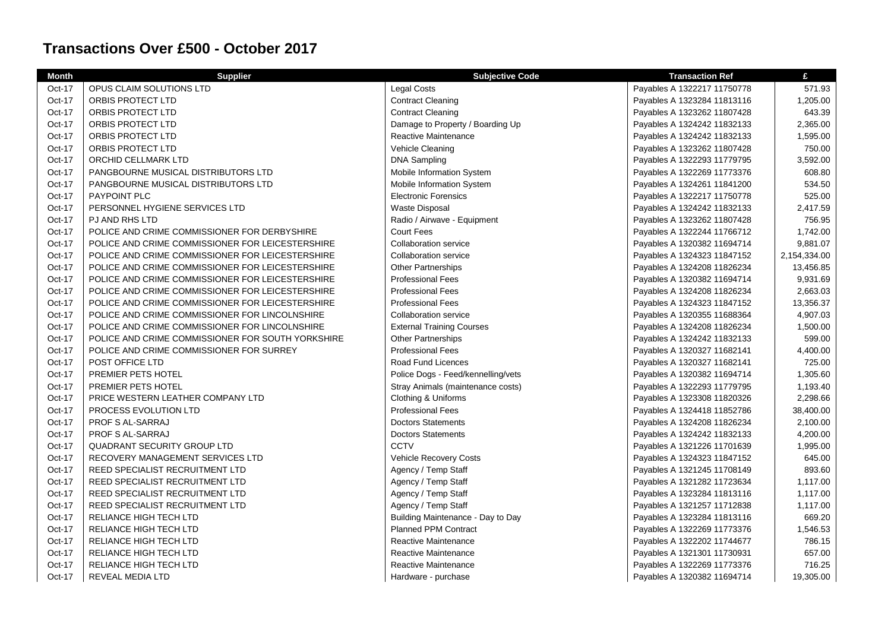| <b>Month</b> | <b>Supplier</b>                                   | <b>Subjective Code</b>             | <b>Transaction Ref</b>      | £            |
|--------------|---------------------------------------------------|------------------------------------|-----------------------------|--------------|
| Oct-17       | OPUS CLAIM SOLUTIONS LTD                          | <b>Legal Costs</b>                 | Payables A 1322217 11750778 | 571.93       |
| Oct-17       | ORBIS PROTECT LTD                                 | <b>Contract Cleaning</b>           | Payables A 1323284 11813116 | 1,205.00     |
| Oct-17       | ORBIS PROTECT LTD                                 | <b>Contract Cleaning</b>           | Payables A 1323262 11807428 | 643.39       |
| Oct-17       | ORBIS PROTECT LTD                                 | Damage to Property / Boarding Up   | Payables A 1324242 11832133 | 2,365.00     |
| Oct-17       | ORBIS PROTECT LTD                                 | Reactive Maintenance               | Payables A 1324242 11832133 | 1,595.00     |
| Oct-17       | ORBIS PROTECT LTD                                 | Vehicle Cleaning                   | Payables A 1323262 11807428 | 750.00       |
| Oct-17       | ORCHID CELLMARK LTD                               | <b>DNA Sampling</b>                | Payables A 1322293 11779795 | 3,592.00     |
| Oct-17       | PANGBOURNE MUSICAL DISTRIBUTORS LTD               | Mobile Information System          | Payables A 1322269 11773376 | 608.80       |
| Oct-17       | PANGBOURNE MUSICAL DISTRIBUTORS LTD               | Mobile Information System          | Payables A 1324261 11841200 | 534.50       |
| Oct-17       | <b>PAYPOINT PLC</b>                               | <b>Electronic Forensics</b>        | Payables A 1322217 11750778 | 525.00       |
| Oct-17       | PERSONNEL HYGIENE SERVICES LTD                    | <b>Waste Disposal</b>              | Payables A 1324242 11832133 | 2,417.59     |
| Oct-17       | PJ AND RHS LTD                                    | Radio / Airwave - Equipment        | Payables A 1323262 11807428 | 756.95       |
| Oct-17       | POLICE AND CRIME COMMISSIONER FOR DERBYSHIRE      | Court Fees                         | Payables A 1322244 11766712 | 1,742.00     |
| Oct-17       | POLICE AND CRIME COMMISSIONER FOR LEICESTERSHIRE  | <b>Collaboration service</b>       | Payables A 1320382 11694714 | 9,881.07     |
| Oct-17       | POLICE AND CRIME COMMISSIONER FOR LEICESTERSHIRE  | <b>Collaboration service</b>       | Payables A 1324323 11847152 | 2,154,334.00 |
| Oct-17       | POLICE AND CRIME COMMISSIONER FOR LEICESTERSHIRE  | <b>Other Partnerships</b>          | Payables A 1324208 11826234 | 13,456.85    |
| Oct-17       | POLICE AND CRIME COMMISSIONER FOR LEICESTERSHIRE  | <b>Professional Fees</b>           | Payables A 1320382 11694714 | 9,931.69     |
| Oct-17       | POLICE AND CRIME COMMISSIONER FOR LEICESTERSHIRE  | <b>Professional Fees</b>           | Payables A 1324208 11826234 | 2,663.03     |
| Oct-17       | POLICE AND CRIME COMMISSIONER FOR LEICESTERSHIRE  | <b>Professional Fees</b>           | Payables A 1324323 11847152 | 13,356.37    |
| Oct-17       | POLICE AND CRIME COMMISSIONER FOR LINCOLNSHIRE    | <b>Collaboration service</b>       | Payables A 1320355 11688364 | 4,907.03     |
| Oct-17       | POLICE AND CRIME COMMISSIONER FOR LINCOLNSHIRE    | <b>External Training Courses</b>   | Payables A 1324208 11826234 | 1,500.00     |
| Oct-17       | POLICE AND CRIME COMMISSIONER FOR SOUTH YORKSHIRE | <b>Other Partnerships</b>          | Payables A 1324242 11832133 | 599.00       |
| Oct-17       | POLICE AND CRIME COMMISSIONER FOR SURREY          | <b>Professional Fees</b>           | Payables A 1320327 11682141 | 4,400.00     |
| Oct-17       | POST OFFICE LTD                                   | Road Fund Licences                 | Payables A 1320327 11682141 | 725.00       |
| Oct-17       | PREMIER PETS HOTEL                                | Police Dogs - Feed/kennelling/vets | Payables A 1320382 11694714 | 1,305.60     |
| Oct-17       | PREMIER PETS HOTEL                                | Stray Animals (maintenance costs)  | Payables A 1322293 11779795 | 1,193.40     |
| Oct-17       | PRICE WESTERN LEATHER COMPANY LTD                 | Clothing & Uniforms                | Payables A 1323308 11820326 | 2,298.66     |
| Oct-17       | PROCESS EVOLUTION LTD                             | <b>Professional Fees</b>           | Payables A 1324418 11852786 | 38,400.00    |
| Oct-17       | PROF S AL-SARRAJ                                  | <b>Doctors Statements</b>          | Payables A 1324208 11826234 | 2,100.00     |
| Oct-17       | PROF S AL-SARRAJ                                  | <b>Doctors Statements</b>          | Payables A 1324242 11832133 | 4,200.00     |
| Oct-17       | <b>QUADRANT SECURITY GROUP LTD</b>                | <b>CCTV</b>                        | Payables A 1321226 11701639 | 1,995.00     |
| Oct-17       | RECOVERY MANAGEMENT SERVICES LTD                  | <b>Vehicle Recovery Costs</b>      | Payables A 1324323 11847152 | 645.00       |
| Oct-17       | REED SPECIALIST RECRUITMENT LTD                   | Agency / Temp Staff                | Payables A 1321245 11708149 | 893.60       |
| Oct-17       | REED SPECIALIST RECRUITMENT LTD                   | Agency / Temp Staff                | Payables A 1321282 11723634 | 1,117.00     |
| Oct-17       | REED SPECIALIST RECRUITMENT LTD                   | Agency / Temp Staff                | Payables A 1323284 11813116 | 1,117.00     |
| Oct-17       | REED SPECIALIST RECRUITMENT LTD                   | Agency / Temp Staff                | Payables A 1321257 11712838 | 1,117.00     |
| Oct-17       | RELIANCE HIGH TECH LTD                            | Building Maintenance - Day to Day  | Payables A 1323284 11813116 | 669.20       |
| Oct-17       | RELIANCE HIGH TECH LTD                            | <b>Planned PPM Contract</b>        | Payables A 1322269 11773376 | 1,546.53     |
| Oct-17       | RELIANCE HIGH TECH LTD                            | Reactive Maintenance               | Payables A 1322202 11744677 | 786.15       |
| Oct-17       | RELIANCE HIGH TECH LTD                            | Reactive Maintenance               | Payables A 1321301 11730931 | 657.00       |
| Oct-17       | RELIANCE HIGH TECH LTD                            | Reactive Maintenance               | Payables A 1322269 11773376 | 716.25       |
| Oct-17       | REVEAL MEDIA LTD                                  | Hardware - purchase                | Payables A 1320382 11694714 | 19,305.00    |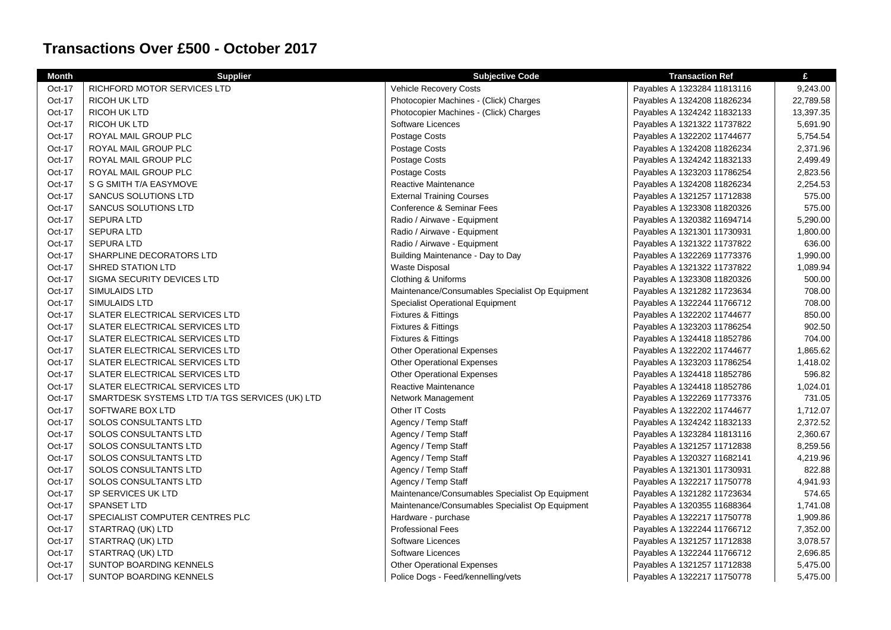| <b>Month</b> | <b>Supplier</b>                                 | <b>Subjective Code</b>                          | <b>Transaction Ref</b>      | £         |
|--------------|-------------------------------------------------|-------------------------------------------------|-----------------------------|-----------|
| $Oct-17$     | RICHFORD MOTOR SERVICES LTD                     | Vehicle Recovery Costs                          | Payables A 1323284 11813116 | 9,243.00  |
| Oct-17       | <b>RICOH UK LTD</b>                             | Photocopier Machines - (Click) Charges          | Payables A 1324208 11826234 | 22,789.58 |
| Oct-17       | <b>RICOH UK LTD</b>                             | Photocopier Machines - (Click) Charges          | Payables A 1324242 11832133 | 13,397.35 |
| Oct-17       | <b>RICOH UK LTD</b>                             | Software Licences                               | Payables A 1321322 11737822 | 5,691.90  |
| Oct-17       | ROYAL MAIL GROUP PLC                            | Postage Costs                                   | Payables A 1322202 11744677 | 5,754.54  |
| Oct-17       | ROYAL MAIL GROUP PLC                            | Postage Costs                                   | Payables A 1324208 11826234 | 2,371.96  |
| Oct-17       | ROYAL MAIL GROUP PLC                            | Postage Costs                                   | Payables A 1324242 11832133 | 2,499.49  |
| Oct-17       | ROYAL MAIL GROUP PLC                            | Postage Costs                                   | Payables A 1323203 11786254 | 2,823.56  |
| Oct-17       | S G SMITH T/A EASYMOVE                          | Reactive Maintenance                            | Payables A 1324208 11826234 | 2,254.53  |
| Oct-17       | <b>SANCUS SOLUTIONS LTD</b>                     | <b>External Training Courses</b>                | Payables A 1321257 11712838 | 575.00    |
| Oct-17       | <b>SANCUS SOLUTIONS LTD</b>                     | Conference & Seminar Fees                       | Payables A 1323308 11820326 | 575.00    |
| Oct-17       | <b>SEPURA LTD</b>                               | Radio / Airwave - Equipment                     | Payables A 1320382 11694714 | 5,290.00  |
| Oct-17       | <b>SEPURA LTD</b>                               | Radio / Airwave - Equipment                     | Payables A 1321301 11730931 | 1,800.00  |
| Oct-17       | <b>SEPURA LTD</b>                               | Radio / Airwave - Equipment                     | Payables A 1321322 11737822 | 636.00    |
| Oct-17       | SHARPLINE DECORATORS LTD                        | Building Maintenance - Day to Day               | Payables A 1322269 11773376 | 1,990.00  |
| Oct-17       | <b>SHRED STATION LTD</b>                        | <b>Waste Disposal</b>                           | Payables A 1321322 11737822 | 1,089.94  |
| Oct-17       | SIGMA SECURITY DEVICES LTD                      | Clothing & Uniforms                             | Payables A 1323308 11820326 | 500.00    |
| Oct-17       | SIMULAIDS LTD                                   | Maintenance/Consumables Specialist Op Equipment | Payables A 1321282 11723634 | 708.00    |
| Oct-17       | SIMULAIDS LTD                                   | <b>Specialist Operational Equipment</b>         | Payables A 1322244 11766712 | 708.00    |
| Oct-17       | SLATER ELECTRICAL SERVICES LTD                  | Fixtures & Fittings                             | Payables A 1322202 11744677 | 850.00    |
| Oct-17       | SLATER ELECTRICAL SERVICES LTD                  | <b>Fixtures &amp; Fittings</b>                  | Payables A 1323203 11786254 | 902.50    |
| Oct-17       | SLATER ELECTRICAL SERVICES LTD                  | <b>Fixtures &amp; Fittings</b>                  | Payables A 1324418 11852786 | 704.00    |
| Oct-17       | SLATER ELECTRICAL SERVICES LTD                  | <b>Other Operational Expenses</b>               | Payables A 1322202 11744677 | 1,865.62  |
| Oct-17       | SLATER ELECTRICAL SERVICES LTD                  | <b>Other Operational Expenses</b>               | Payables A 1323203 11786254 | 1,418.02  |
| Oct-17       | SLATER ELECTRICAL SERVICES LTD                  | <b>Other Operational Expenses</b>               | Payables A 1324418 11852786 | 596.82    |
| Oct-17       | SLATER ELECTRICAL SERVICES LTD                  | Reactive Maintenance                            | Payables A 1324418 11852786 | 1,024.01  |
| Oct-17       | SMARTDESK SYSTEMS LTD T/A TGS SERVICES (UK) LTD | Network Management                              | Payables A 1322269 11773376 | 731.05    |
| Oct-17       | SOFTWARE BOX LTD                                | Other IT Costs                                  | Payables A 1322202 11744677 | 1,712.07  |
| Oct-17       | SOLOS CONSULTANTS LTD                           | Agency / Temp Staff                             | Payables A 1324242 11832133 | 2,372.52  |
| Oct-17       | SOLOS CONSULTANTS LTD                           | Agency / Temp Staff                             | Payables A 1323284 11813116 | 2,360.67  |
| Oct-17       | SOLOS CONSULTANTS LTD                           | Agency / Temp Staff                             | Payables A 1321257 11712838 | 8,259.56  |
| Oct-17       | SOLOS CONSULTANTS LTD                           | Agency / Temp Staff                             | Payables A 1320327 11682141 | 4,219.96  |
| Oct-17       | SOLOS CONSULTANTS LTD                           | Agency / Temp Staff                             | Payables A 1321301 11730931 | 822.88    |
| Oct-17       | SOLOS CONSULTANTS LTD                           | Agency / Temp Staff                             | Payables A 1322217 11750778 | 4,941.93  |
| Oct-17       | SP SERVICES UK LTD                              | Maintenance/Consumables Specialist Op Equipment | Payables A 1321282 11723634 | 574.65    |
| Oct-17       | <b>SPANSET LTD</b>                              | Maintenance/Consumables Specialist Op Equipment | Payables A 1320355 11688364 | 1,741.08  |
| Oct-17       | SPECIALIST COMPUTER CENTRES PLC                 | Hardware - purchase                             | Payables A 1322217 11750778 | 1,909.86  |
| Oct-17       | STARTRAQ (UK) LTD                               | <b>Professional Fees</b>                        | Payables A 1322244 11766712 | 7,352.00  |
| Oct-17       | STARTRAQ (UK) LTD                               | Software Licences                               | Payables A 1321257 11712838 | 3,078.57  |
| Oct-17       | STARTRAQ (UK) LTD                               | Software Licences                               | Payables A 1322244 11766712 | 2,696.85  |
| Oct-17       | SUNTOP BOARDING KENNELS                         | <b>Other Operational Expenses</b>               | Payables A 1321257 11712838 | 5,475.00  |
| Oct-17       | <b>SUNTOP BOARDING KENNELS</b>                  | Police Dogs - Feed/kennelling/vets              | Payables A 1322217 11750778 | 5,475.00  |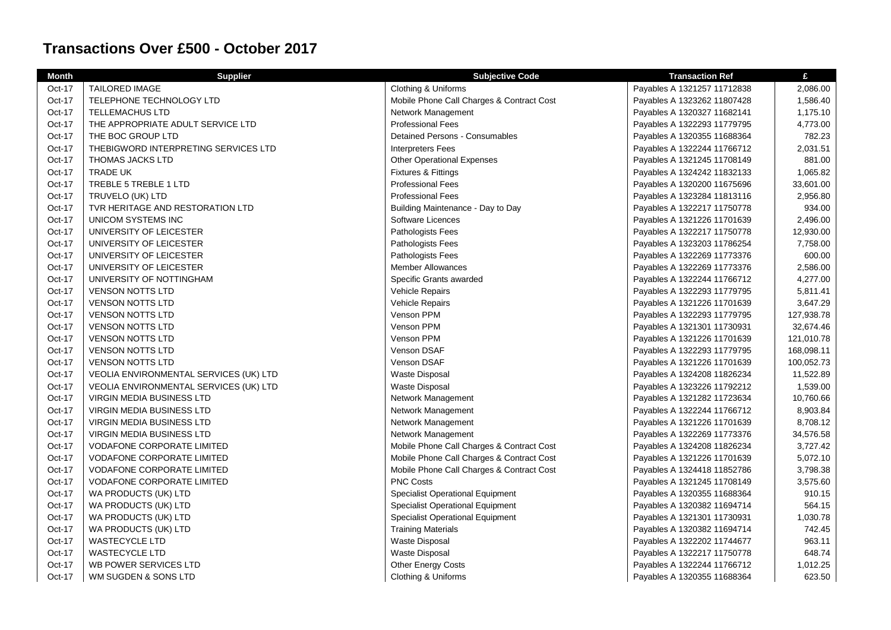| <b>Month</b> | <b>Supplier</b>                        | <b>Subjective Code</b>                    | <b>Transaction Ref</b>      | £          |
|--------------|----------------------------------------|-------------------------------------------|-----------------------------|------------|
| Oct-17       | <b>TAILORED IMAGE</b>                  | Clothing & Uniforms                       | Payables A 1321257 11712838 | 2,086.00   |
| Oct-17       | TELEPHONE TECHNOLOGY LTD               | Mobile Phone Call Charges & Contract Cost | Payables A 1323262 11807428 | 1,586.40   |
| Oct-17       | <b>TELLEMACHUS LTD</b>                 | Network Management                        | Payables A 1320327 11682141 | 1,175.10   |
| Oct-17       | THE APPROPRIATE ADULT SERVICE LTD      | <b>Professional Fees</b>                  | Payables A 1322293 11779795 | 4,773.00   |
| Oct-17       | THE BOC GROUP LTD                      | Detained Persons - Consumables            | Payables A 1320355 11688364 | 782.23     |
| Oct-17       | THEBIGWORD INTERPRETING SERVICES LTD   | <b>Interpreters Fees</b>                  | Payables A 1322244 11766712 | 2,031.51   |
| Oct-17       | <b>THOMAS JACKS LTD</b>                | <b>Other Operational Expenses</b>         | Payables A 1321245 11708149 | 881.00     |
| Oct-17       | <b>TRADE UK</b>                        | Fixtures & Fittings                       | Payables A 1324242 11832133 | 1,065.82   |
| Oct-17       | TREBLE 5 TREBLE 1 LTD                  | <b>Professional Fees</b>                  | Payables A 1320200 11675696 | 33,601.00  |
| Oct-17       | TRUVELO (UK) LTD                       | <b>Professional Fees</b>                  | Payables A 1323284 11813116 | 2,956.80   |
| Oct-17       | TVR HERITAGE AND RESTORATION LTD       | Building Maintenance - Day to Day         | Payables A 1322217 11750778 | 934.00     |
| Oct-17       | UNICOM SYSTEMS INC                     | Software Licences                         | Payables A 1321226 11701639 | 2,496.00   |
| Oct-17       | UNIVERSITY OF LEICESTER                | Pathologists Fees                         | Payables A 1322217 11750778 | 12,930.00  |
| Oct-17       | UNIVERSITY OF LEICESTER                | Pathologists Fees                         | Payables A 1323203 11786254 | 7,758.00   |
| Oct-17       | UNIVERSITY OF LEICESTER                | Pathologists Fees                         | Payables A 1322269 11773376 | 600.00     |
| Oct-17       | UNIVERSITY OF LEICESTER                | <b>Member Allowances</b>                  | Payables A 1322269 11773376 | 2,586.00   |
| Oct-17       | UNIVERSITY OF NOTTINGHAM               | Specific Grants awarded                   | Payables A 1322244 11766712 | 4,277.00   |
| Oct-17       | <b>VENSON NOTTS LTD</b>                | Vehicle Repairs                           | Payables A 1322293 11779795 | 5,811.41   |
| Oct-17       | <b>VENSON NOTTS LTD</b>                | Vehicle Repairs                           | Payables A 1321226 11701639 | 3,647.29   |
| Oct-17       | <b>VENSON NOTTS LTD</b>                | Venson PPM                                | Payables A 1322293 11779795 | 127,938.78 |
| Oct-17       | <b>VENSON NOTTS LTD</b>                | Venson PPM                                | Payables A 1321301 11730931 | 32,674.46  |
| Oct-17       | <b>VENSON NOTTS LTD</b>                | Venson PPM                                | Payables A 1321226 11701639 | 121,010.78 |
| Oct-17       | <b>VENSON NOTTS LTD</b>                | <b>Venson DSAF</b>                        | Payables A 1322293 11779795 | 168,098.11 |
| Oct-17       | <b>VENSON NOTTS LTD</b>                | Venson DSAF                               | Payables A 1321226 11701639 | 100,052.73 |
| Oct-17       | VEOLIA ENVIRONMENTAL SERVICES (UK) LTD | <b>Waste Disposal</b>                     | Payables A 1324208 11826234 | 11,522.89  |
| Oct-17       | VEOLIA ENVIRONMENTAL SERVICES (UK) LTD | <b>Waste Disposal</b>                     | Payables A 1323226 11792212 | 1,539.00   |
| Oct-17       | VIRGIN MEDIA BUSINESS LTD              | Network Management                        | Payables A 1321282 11723634 | 10,760.66  |
| Oct-17       | VIRGIN MEDIA BUSINESS LTD              | Network Management                        | Payables A 1322244 11766712 | 8,903.84   |
| Oct-17       | VIRGIN MEDIA BUSINESS LTD              | Network Management                        | Payables A 1321226 11701639 | 8,708.12   |
| Oct-17       | VIRGIN MEDIA BUSINESS LTD              | Network Management                        | Payables A 1322269 11773376 | 34,576.58  |
| Oct-17       | <b>VODAFONE CORPORATE LIMITED</b>      | Mobile Phone Call Charges & Contract Cost | Payables A 1324208 11826234 | 3,727.42   |
| Oct-17       | <b>VODAFONE CORPORATE LIMITED</b>      | Mobile Phone Call Charges & Contract Cost | Payables A 1321226 11701639 | 5,072.10   |
| Oct-17       | <b>VODAFONE CORPORATE LIMITED</b>      | Mobile Phone Call Charges & Contract Cost | Payables A 1324418 11852786 | 3,798.38   |
| Oct-17       | <b>VODAFONE CORPORATE LIMITED</b>      | <b>PNC Costs</b>                          | Payables A 1321245 11708149 | 3,575.60   |
| Oct-17       | WA PRODUCTS (UK) LTD                   | <b>Specialist Operational Equipment</b>   | Payables A 1320355 11688364 | 910.15     |
| Oct-17       | WA PRODUCTS (UK) LTD                   | <b>Specialist Operational Equipment</b>   | Payables A 1320382 11694714 | 564.15     |
| Oct-17       | WA PRODUCTS (UK) LTD                   | <b>Specialist Operational Equipment</b>   | Payables A 1321301 11730931 | 1,030.78   |
| Oct-17       | WA PRODUCTS (UK) LTD                   | <b>Training Materials</b>                 | Payables A 1320382 11694714 | 742.45     |
| Oct-17       | <b>WASTECYCLE LTD</b>                  | <b>Waste Disposal</b>                     | Payables A 1322202 11744677 | 963.11     |
| Oct-17       | <b>WASTECYCLE LTD</b>                  | <b>Waste Disposal</b>                     | Payables A 1322217 11750778 | 648.74     |
| Oct-17       | WB POWER SERVICES LTD                  | Other Energy Costs                        | Payables A 1322244 11766712 | 1,012.25   |
| Oct-17       | WM SUGDEN & SONS LTD                   | Clothing & Uniforms                       | Payables A 1320355 11688364 | 623.50     |